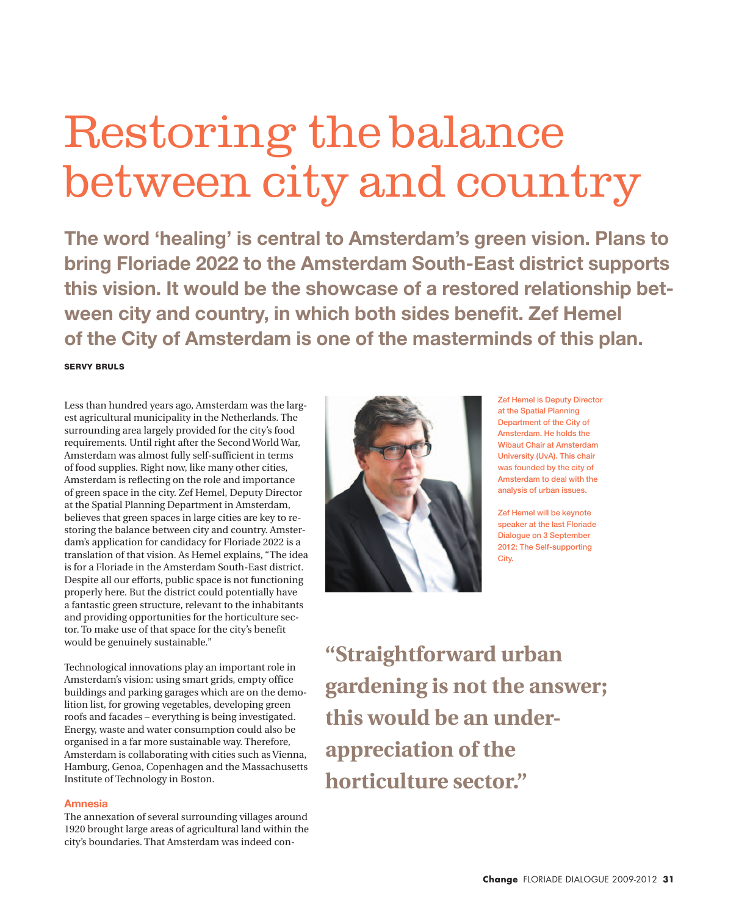# Restoring the balance between city and country

**The word 'healing' is central to Amsterdam's green vision. Plans to bring Floriade 2022 to the Amsterdam South-East district supports this vision. It would be the showcase of a restored relationship between city and country, in which both sides benefit. Zef Hemel of the City of Amsterdam is one of the masterminds of this plan.**

Servy Bruls

Less than hundred years ago, Amsterdam was the largest agricultural municipality in the Netherlands. The surrounding area largely provided for the city's food requirements. Until right after the Second World War, Amsterdam was almost fully self-sufficient in terms of food supplies. Right now, like many other cities, Amsterdam is reflecting on the role and importance of green space in the city. Zef Hemel, Deputy Director at the Spatial Planning Department in Amsterdam, believes that green spaces in large cities are key to restoring the balance between city and country. Amsterdam's application for candidacy for Floriade 2022 is a translation of that vision. As Hemel explains, "The idea is for a Floriade in the Amsterdam South-East district. Despite all our efforts, public space is not functioning properly here. But the district could potentially have a fantastic green structure, relevant to the inhabitants and providing opportunities for the horticulture sector. To make use of that space for the city's benefit would be genuinely sustainable."

Technological innovations play an important role in Amsterdam's vision: using smart grids, empty office buildings and parking garages which are on the demolition list, for growing vegetables, developing green roofs and facades – everything is being investigated. Energy, waste and water consumption could also be organised in a far more sustainable way. Therefore, Amsterdam is collaborating with cities such as Vienna, Hamburg, Genoa, Copenhagen and the Massachusetts Institute of Technology in Boston.

### **Amnesia**

The annexation of several surrounding villages around 1920 brought large areas of agricultural land within the city's boundaries. That Amsterdam was indeed con-



Zef Hemel is Deputy Director at the Spatial Planning Department of the City of Amsterdam. He holds the Wibaut Chair at Amsterdam University (UvA). This chair was founded by the city of Amsterdam to deal with the analysis of urban issues.

Zef Hemel will be keynote speaker at the last Floriade Dialogue on 3 September 2012: The Self-supporting City.

**"Straightforward urban gardening is not the answer; this would be an underappreciation of the horticulture sector."**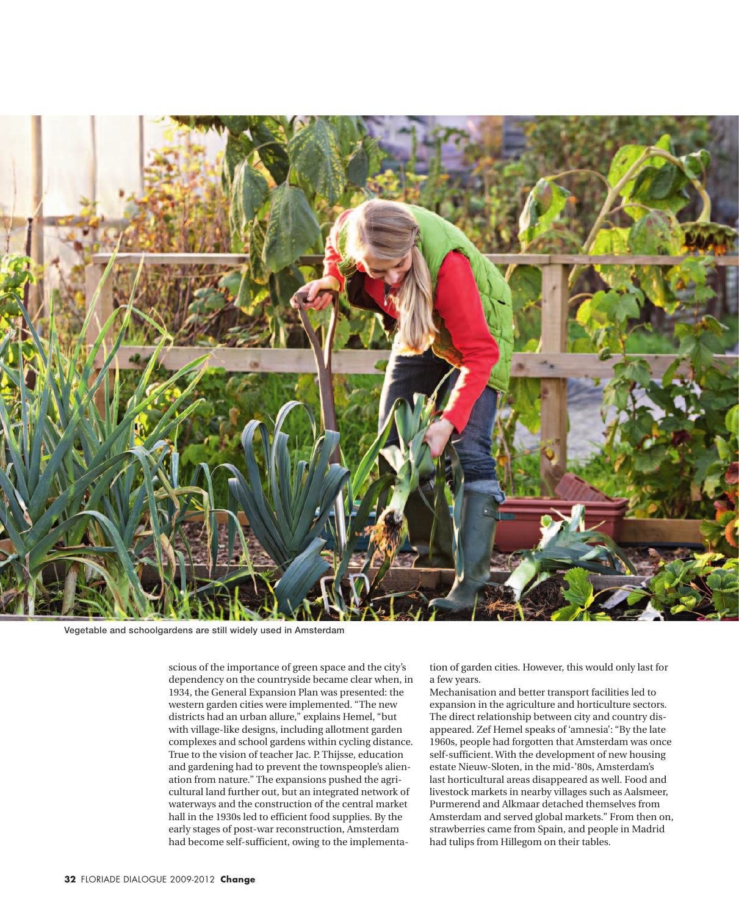

Vegetable and schoolgardens are still widely used in Amsterdam

scious of the importance of green space and the city's dependency on the countryside became clear when, in 1934, the General Expansion Plan was presented: the western garden cities were implemented. "The new districts had an urban allure," explains Hemel, "but with village-like designs, including allotment garden complexes and school gardens within cycling distance. True to the vision of teacher Jac. P. Thijsse, education and gardening had to prevent the townspeople's alienation from nature." The expansions pushed the agricultural land further out, but an integrated network of waterways and the construction of the central market hall in the 1930s led to efficient food supplies. By the early stages of post-war reconstruction, Amsterdam had become self-sufficient, owing to the implementation of garden cities. However, this would only last for a few years.

Mechanisation and better transport facilities led to expansion in the agriculture and horticulture sectors. The direct relationship between city and country disappeared. Zef Hemel speaks of 'amnesia': "By the late 1960s, people had forgotten that Amsterdam was once self-sufficient. With the development of new housing estate Nieuw-Sloten, in the mid-'80s, Amsterdam's last horticultural areas disappeared as well. Food and livestock markets in nearby villages such as Aalsmeer, Purmerend and Alkmaar detached themselves from Amsterdam and served global markets." From then on, strawberries came from Spain, and people in Madrid had tulips from Hillegom on their tables.